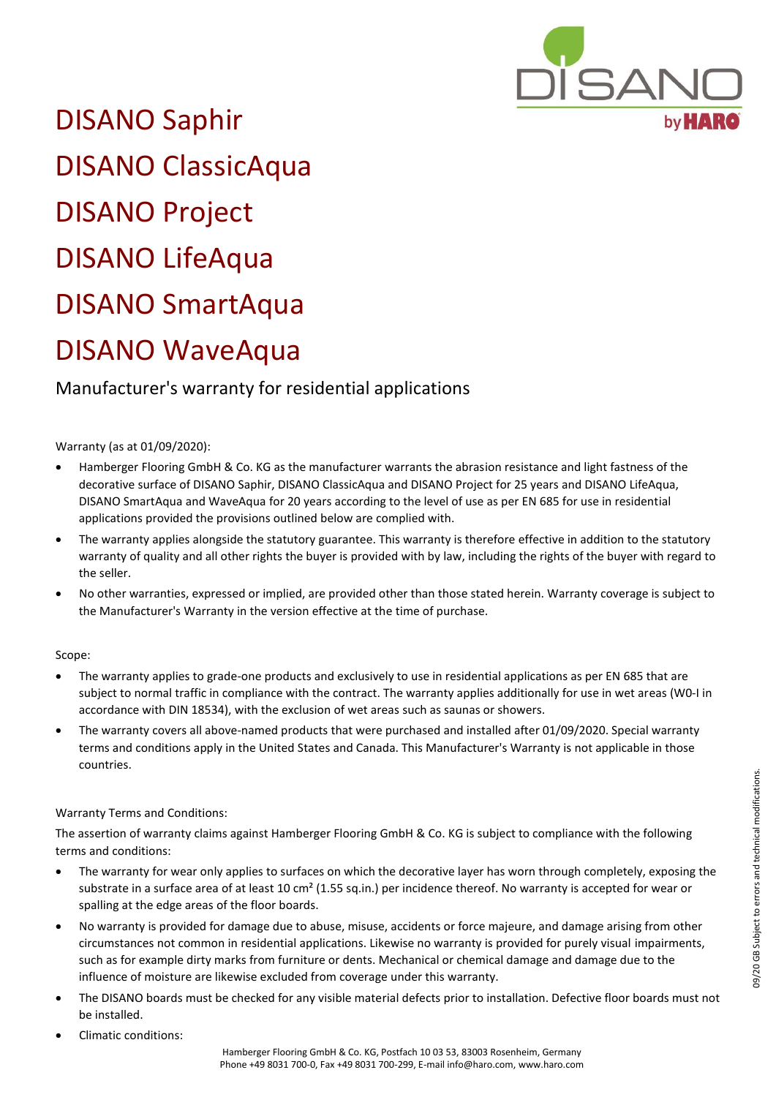

DISANO Saphir DISANO ClassicAqua DISANO Project DISANO LifeAqua DISANO SmartAqua DISANO WaveAqua

## Manufacturer's warranty for residential applications

## Warranty (as at 01/09/2020):

- Hamberger Flooring GmbH & Co. KG as the manufacturer warrants the abrasion resistance and light fastness of the decorative surface of DISANO Saphir, DISANO ClassicAqua and DISANO Project for 25 years and DISANO LifeAqua, DISANO SmartAqua and WaveAqua for 20 years according to the level of use as per EN 685 for use in residential applications provided the provisions outlined below are complied with.
- The warranty applies alongside the statutory guarantee. This warranty is therefore effective in addition to the statutory warranty of quality and all other rights the buyer is provided with by law, including the rights of the buyer with regard to the seller.
- No other warranties, expressed or implied, are provided other than those stated herein. Warranty coverage is subject to the Manufacturer's Warranty in the version effective at the time of purchase.

## Scope:

- The warranty applies to grade-one products and exclusively to use in residential applications as per EN 685 that are subject to normal traffic in compliance with the contract. The warranty applies additionally for use in wet areas (W0-I in accordance with DIN 18534), with the exclusion of wet areas such as saunas or showers.
- The warranty covers all above-named products that were purchased and installed after 01/09/2020. Special warranty terms and conditions apply in the United States and Canada. This Manufacturer's Warranty is not applicable in those countries.

## Warranty Terms and Conditions:

The assertion of warranty claims against Hamberger Flooring GmbH & Co. KG is subject to compliance with the following terms and conditions:

- The warranty for wear only applies to surfaces on which the decorative layer has worn through completely, exposing the substrate in a surface area of at least 10 cm<sup>2</sup> (1.55 sq.in.) per incidence thereof. No warranty is accepted for wear or spalling at the edge areas of the floor boards.
- No warranty is provided for damage due to abuse, misuse, accidents or force majeure, and damage arising from other circumstances not common in residential applications. Likewise no warranty is provided for purely visual impairments, such as for example dirty marks from furniture or dents. Mechanical or chemical damage and damage due to the influence of moisture are likewise excluded from coverage under this warranty.
- The DISANO boards must be checked for any visible material defects prior to installation. Defective floor boards must not be installed.
- Climatic conditions: